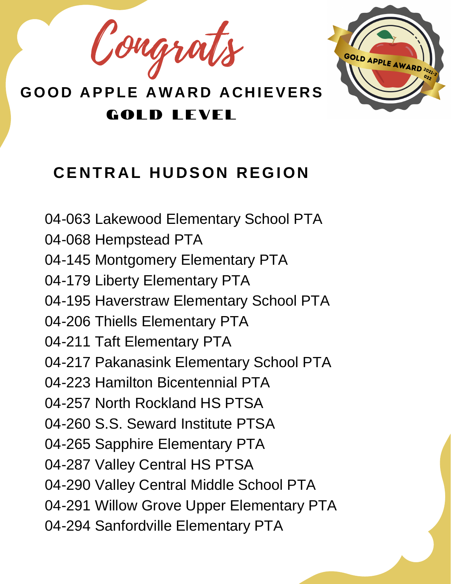Congrat



#### $CENTRAL HUDSON REGION$

- 04-063 Lakewood Elementary School PTA
- 04-068 Hempstead PTA
- 04-145 Montgomery Elementary PTA
- 04-179 Liberty Elementary PTA
- 04-195 Haverstraw Elementary School PTA
- 04-206 Thiells Elementary PTA
- 04-211 Taft Elementary PTA
- 04-217 Pakanasink Elementary School PTA
- 04-223 Hamilton Bicentennial PTA
- 04-257 North Rockland HS PTSA
- 04-260 S.S. Seward Institute PTSA
- 04-265 Sapphire Elementary PTA
- 04-287 Valley Central HS PTSA
- 04-290 Valley Central Middle School PTA
- 04-291 Willow Grove Upper Elementary PTA
- 04-294 Sanfordville Elementary PTA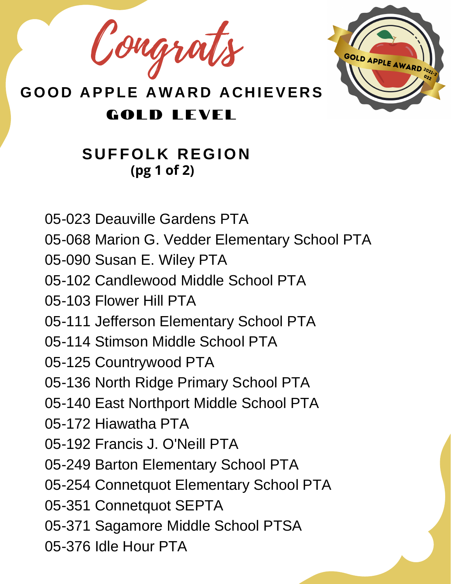Congrat



#### **GOLD LEVEL**

#### **S U FFOL K R EGION (pg 1 of 2)**

- 05-023 Deauville Gardens PTA
- 05-068 Marion G. Vedder Elementary School PTA
- 05-090 Susan E. Wiley PTA
- 05-102 Candlewood Middle School PTA
- 05-103 Flower Hill PTA
- 05-111 Jefferson Elementary School PTA
- 05-114 Stimson Middle School PTA
- 05-125 Countrywood PTA
- 05-136 North Ridge Primary School PTA
- 05-140 East Northport Middle School PTA
- 05-172 Hiawatha PTA
- 05-192 Francis J. O'Neill PTA
- 05-249 Barton Elementary School PTA
- 05-254 Connetquot Elementary School PTA
- 05-351 Connetquot SEPTA
- 05-371 Sagamore Middle School PTSA
- 05-376 Idle Hour PTA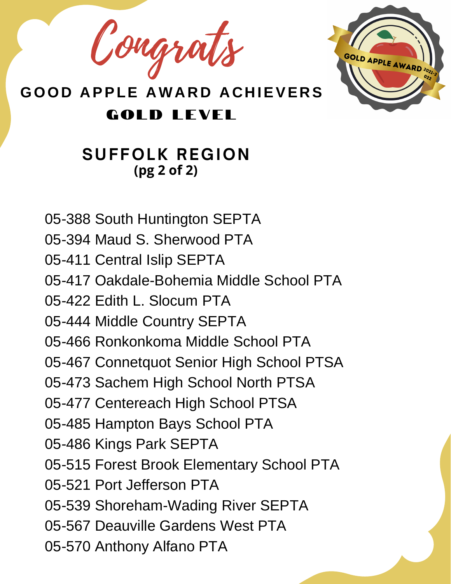Congrats



**GOLD LEVEL** 

#### **SUFFOLK REGION (pg 2 of 2)**

- 05-388 South Huntington SEPTA
- 05-394 Maud S. Sherwood PTA
- 05-411 Central Islip SEPTA
- 05-417 Oakdale-Bohemia Middle School PTA
- 05-422 Edith L. Slocum PTA
- 05-444 Middle Country SEPTA
- 05-466 Ronkonkoma Middle School PTA
- 05-467 Connetquot Senior High School PTSA
- 05-473 Sachem High School North PTSA
- 05-477 Centereach High School PTSA
- 05-485 Hampton Bays School PTA
- 05-486 Kings Park SEPTA
- 05-515 Forest Brook Elementary School PTA
- 05-521 Port Jefferson PTA
- 05-539 Shoreham-Wading River SEPTA
- 05-567 Deauville Gardens West PTA
- 05-570 Anthony Alfano PTA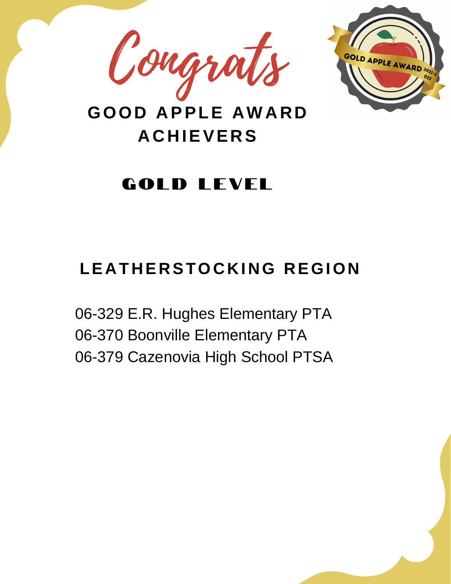



#### **GOLD LEVEL**

#### **LE A T H E R STOC K I NG R EGION**

06-329 E.R. Hughes Elementary PTA 06-370 Boonville Elementary PTA 06-379 Cazenovia High School PTSA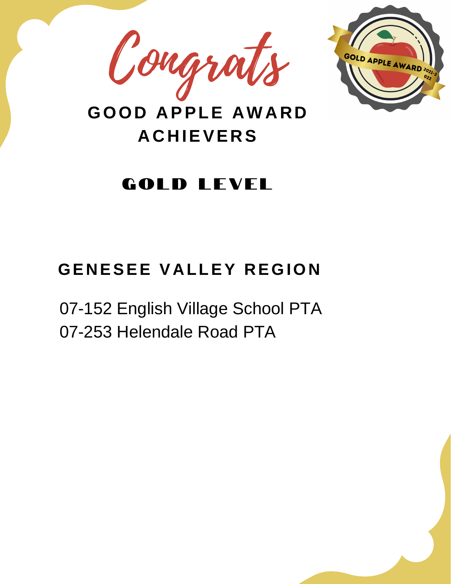



#### **GOLD LEVEL**

#### **GE N ESEE V A LLEY R EGION**

07-152 English Village School PTA 07-253 Helendale Road PTA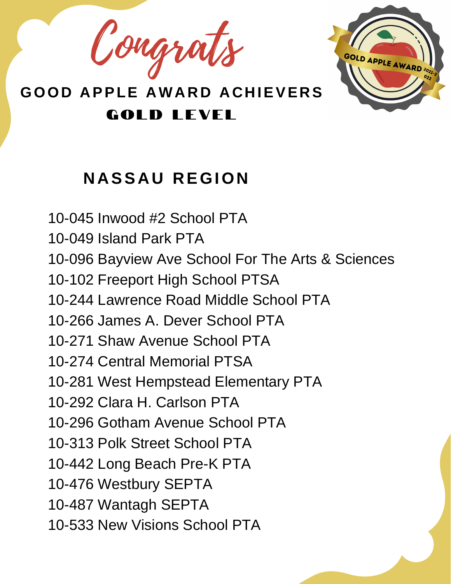Congrats



## **N A SS A U R EGION**

10-045 Inwood #2 School PTA 10-049 Island Park PTA 10-096 Bayview Ave School For The Arts & Sciences 10-102 Freeport High School PTSA 10-244 Lawrence Road Middle School PTA 10-266 James A. Dever School PTA 10-271 Shaw Avenue School PTA 10-274 Central Memorial PTSA 10-281 West Hempstead Elementary PTA 10-292 Clara H. Carlson PTA 10-296 Gotham Avenue School PTA 10-313 Polk Street School PTA 10-442 Long Beach Pre-K PTA 10-476 Westbury SEPTA 10-487 Wantagh SEPTA 10-533 New Visions School PTA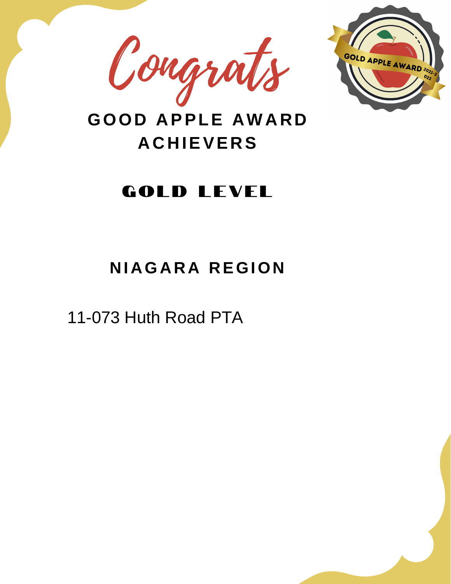



#### **GOLD LEVEL**

### **N I AGA R A R EGION**

11-073 Huth Road PTA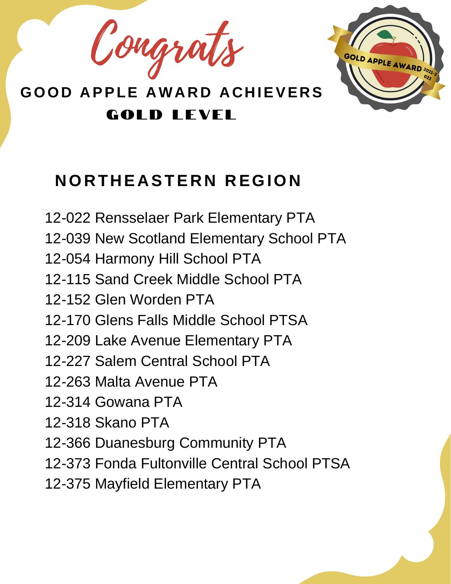Congrats



### **NOR T H E A STE R N R EGION**

12-022 Rensselaer Park Elementary PTA 12-039 New Scotland Elementary School PTA 12-054 Harmony Hill School PTA 12-115 Sand Creek Middle School PTA 12-152 Glen Worden PTA 12-170 Glens Falls Middle School PTSA 12-209 Lake Avenue Elementary PTA 12-227 Salem Central School PTA 12-263 Malta Avenue PTA 12-314 Gowana PTA 12-318 Skano PTA 12-366 Duanesburg Community PTA 12-373 Fonda Fultonville Central School PTSA 12-375 Mayfield Elementary PTA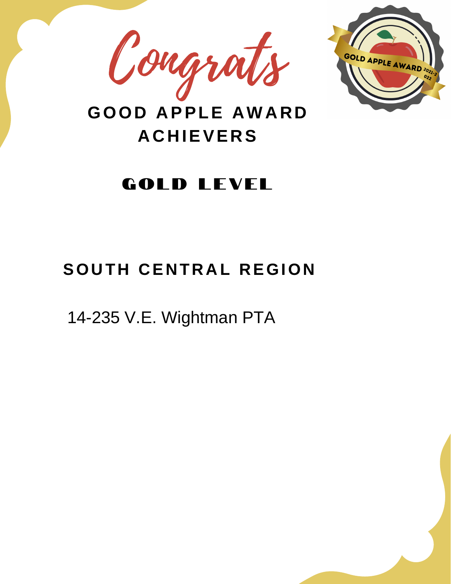



#### **GOLD LEVEL**

#### $S$  **OUTH CENTRAL REGION**

14-235 V.E. Wightman PTA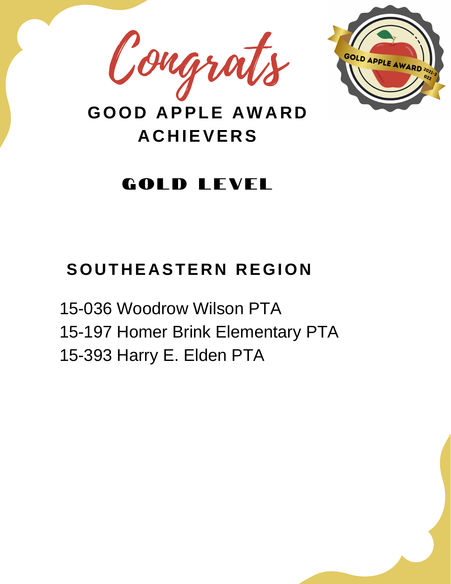



#### **GOLD LEVEL**

#### $S$  **OUTHEASTERN REGION**

15-036 Woodrow Wilson PTA 15-197 Homer Brink Elementary PTA 15-393 Harry E. Elden PTA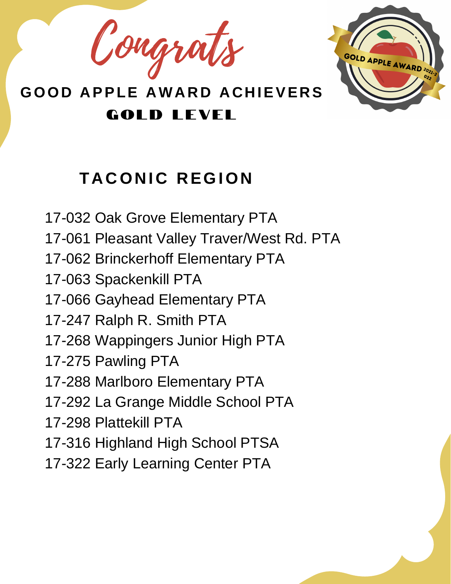Congrats



# **T A CON I C R EGION**

17-032 Oak Grove Elementary PTA 17-061 Pleasant Valley Traver/West Rd. PTA 17-062 Brinckerhoff Elementary PTA 17-063 Spackenkill PTA 17-066 Gayhead Elementary PTA 17-247 Ralph R. Smith PTA 17-268 Wappingers Junior High PTA 17-275 Pawling PTA 17-288 Marlboro Elementary PTA 17-292 La Grange Middle School PTA 17-298 Plattekill PTA 17-316 Highland High School PTSA 17-322 Early Learning Center PTA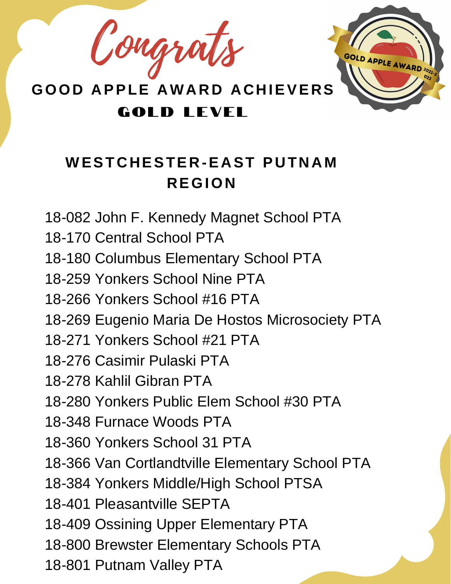Congrats



#### $W$  **ESTCHESTER-EAST PUTNAM R EGION**

18-082 John F. Kennedy Magnet School PTA 18-170 Central School PTA 18-180 Columbus Elementary School PTA 18-259 Yonkers School Nine PTA 18-266 Yonkers School #16 PTA 18-269 Eugenio Maria De Hostos Microsociety PTA 18-271 Yonkers School #21 PTA 18-276 Casimir Pulaski PTA 18-278 Kahlil Gibran PTA 18-280 Yonkers Public Elem School #30 PTA 18-348 Furnace Woods PTA 18-360 Yonkers School 31 PTA 18-366 Van Cortlandtville Elementary School PTA 18-384 Yonkers Middle/High School PTSA 18-401 Pleasantville SEPTA 18-409 Ossining Upper Elementary PTA 18-800 Brewster Elementary Schools PTA 18-801 Putnam Valley PTA